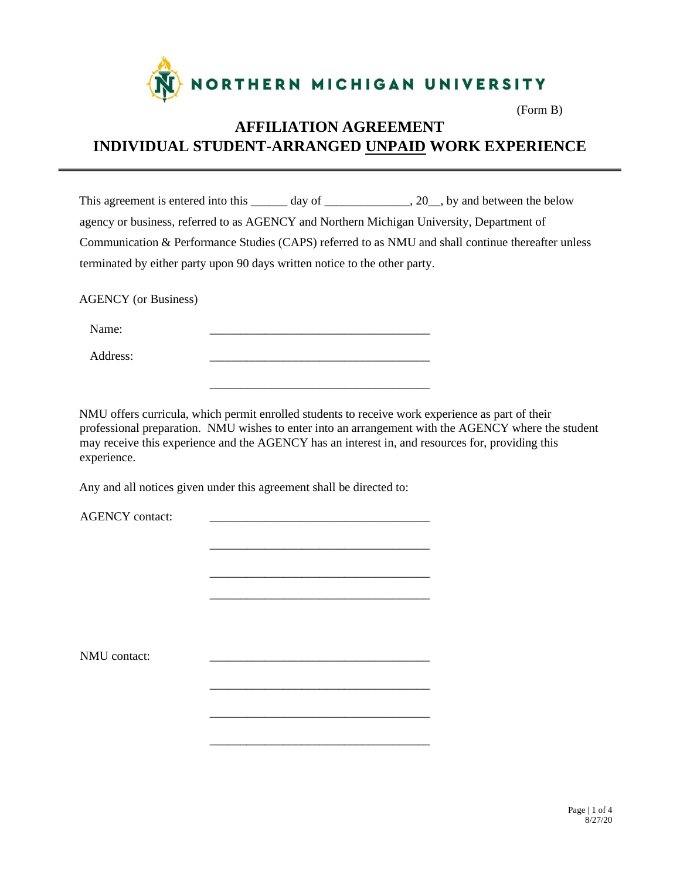

(Form B)

# **AFFILIATION AGREEMENT INDIVIDUAL STUDENT-ARRANGED UNPAID WORK EXPERIENCE**

| This agreement is entered into this $\qquad \qquad$ day of $\qquad \qquad$ , 20, by and between the below |
|-----------------------------------------------------------------------------------------------------------|
| agency or business, referred to as AGENCY and Northern Michigan University, Department of                 |
| Communication & Performance Studies (CAPS) referred to as NMU and shall continue thereafter unless        |
| terminated by either party upon 90 days written notice to the other party.                                |

AGENCY (or Business)

Name: \_\_\_\_\_\_\_\_\_\_\_\_\_\_\_\_\_\_\_\_\_\_\_\_\_\_\_\_\_\_\_\_\_\_\_\_

Address:

NMU offers curricula, which permit enrolled students to receive work experience as part of their professional preparation. NMU wishes to enter into an arrangement with the AGENCY where the student may receive this experience and the AGENCY has an interest in, and resources for, providing this experience.

> \_\_\_\_\_\_\_\_\_\_\_\_\_\_\_\_\_\_\_\_\_\_\_\_\_\_\_\_\_\_\_\_\_\_\_\_ \_\_\_\_\_\_\_\_\_\_\_\_\_\_\_\_\_\_\_\_\_\_\_\_\_\_\_\_\_\_\_\_\_\_\_\_

> \_\_\_\_\_\_\_\_\_\_\_\_\_\_\_\_\_\_\_\_\_\_\_\_\_\_\_\_\_\_\_\_\_\_\_\_

Any and all notices given under this agreement shall be directed to:

 $\overline{\phantom{a}}$  ,  $\overline{\phantom{a}}$  ,  $\overline{\phantom{a}}$  ,  $\overline{\phantom{a}}$  ,  $\overline{\phantom{a}}$  ,  $\overline{\phantom{a}}$  ,  $\overline{\phantom{a}}$  ,  $\overline{\phantom{a}}$  ,  $\overline{\phantom{a}}$  ,  $\overline{\phantom{a}}$  ,  $\overline{\phantom{a}}$  ,  $\overline{\phantom{a}}$  ,  $\overline{\phantom{a}}$  ,  $\overline{\phantom{a}}$  ,  $\overline{\phantom{a}}$  ,  $\overline{\phantom{a}}$ 

 $\frac{1}{\sqrt{2}}$  ,  $\frac{1}{\sqrt{2}}$  ,  $\frac{1}{\sqrt{2}}$  ,  $\frac{1}{\sqrt{2}}$  ,  $\frac{1}{\sqrt{2}}$  ,  $\frac{1}{\sqrt{2}}$  ,  $\frac{1}{\sqrt{2}}$  ,  $\frac{1}{\sqrt{2}}$  ,  $\frac{1}{\sqrt{2}}$  ,  $\frac{1}{\sqrt{2}}$  ,  $\frac{1}{\sqrt{2}}$  ,  $\frac{1}{\sqrt{2}}$  ,  $\frac{1}{\sqrt{2}}$  ,  $\frac{1}{\sqrt{2}}$  ,  $\frac{1}{\sqrt{2}}$ 

 $\overline{\phantom{a}}$  ,  $\overline{\phantom{a}}$  ,  $\overline{\phantom{a}}$  ,  $\overline{\phantom{a}}$  ,  $\overline{\phantom{a}}$  ,  $\overline{\phantom{a}}$  ,  $\overline{\phantom{a}}$  ,  $\overline{\phantom{a}}$  ,  $\overline{\phantom{a}}$  ,  $\overline{\phantom{a}}$  ,  $\overline{\phantom{a}}$  ,  $\overline{\phantom{a}}$  ,  $\overline{\phantom{a}}$  ,  $\overline{\phantom{a}}$  ,  $\overline{\phantom{a}}$  ,  $\overline{\phantom{a}}$ 

 $\frac{1}{\sqrt{2}}$  ,  $\frac{1}{\sqrt{2}}$  ,  $\frac{1}{\sqrt{2}}$  ,  $\frac{1}{\sqrt{2}}$  ,  $\frac{1}{\sqrt{2}}$  ,  $\frac{1}{\sqrt{2}}$  ,  $\frac{1}{\sqrt{2}}$  ,  $\frac{1}{\sqrt{2}}$  ,  $\frac{1}{\sqrt{2}}$  ,  $\frac{1}{\sqrt{2}}$  ,  $\frac{1}{\sqrt{2}}$  ,  $\frac{1}{\sqrt{2}}$  ,  $\frac{1}{\sqrt{2}}$  ,  $\frac{1}{\sqrt{2}}$  ,  $\frac{1}{\sqrt{2}}$ 

AGENCY contact:

NMU contact: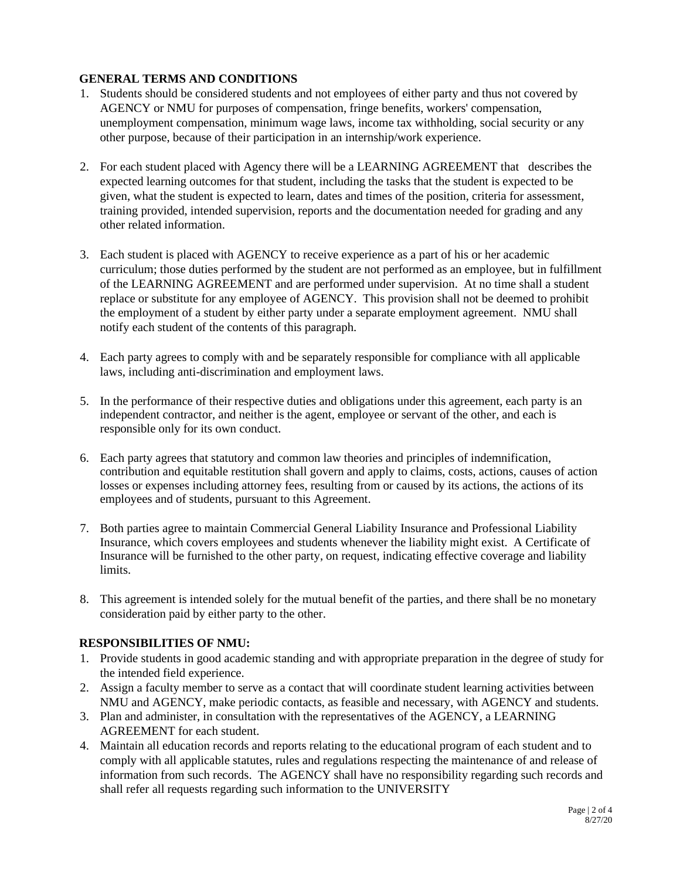## **GENERAL TERMS AND CONDITIONS**

- 1. Students should be considered students and not employees of either party and thus not covered by AGENCY or NMU for purposes of compensation, fringe benefits, workers' compensation, unemployment compensation, minimum wage laws, income tax withholding, social security or any other purpose, because of their participation in an internship/work experience.
- 2. For each student placed with Agency there will be a LEARNING AGREEMENT that describes the expected learning outcomes for that student, including the tasks that the student is expected to be given, what the student is expected to learn, dates and times of the position, criteria for assessment, training provided, intended supervision, reports and the documentation needed for grading and any other related information.
- 3. Each student is placed with AGENCY to receive experience as a part of his or her academic curriculum; those duties performed by the student are not performed as an employee, but in fulfillment of the LEARNING AGREEMENT and are performed under supervision. At no time shall a student replace or substitute for any employee of AGENCY. This provision shall not be deemed to prohibit the employment of a student by either party under a separate employment agreement. NMU shall notify each student of the contents of this paragraph.
- 4. Each party agrees to comply with and be separately responsible for compliance with all applicable laws, including anti-discrimination and employment laws.
- 5. In the performance of their respective duties and obligations under this agreement, each party is an independent contractor, and neither is the agent, employee or servant of the other, and each is responsible only for its own conduct.
- 6. Each party agrees that statutory and common law theories and principles of indemnification, contribution and equitable restitution shall govern and apply to claims, costs, actions, causes of action losses or expenses including attorney fees, resulting from or caused by its actions, the actions of its employees and of students, pursuant to this Agreement.
- 7. Both parties agree to maintain Commercial General Liability Insurance and Professional Liability Insurance, which covers employees and students whenever the liability might exist. A Certificate of Insurance will be furnished to the other party, on request, indicating effective coverage and liability limits.
- 8. This agreement is intended solely for the mutual benefit of the parties, and there shall be no monetary consideration paid by either party to the other.

## **RESPONSIBILITIES OF NMU:**

- 1. Provide students in good academic standing and with appropriate preparation in the degree of study for the intended field experience.
- 2. Assign a faculty member to serve as a contact that will coordinate student learning activities between NMU and AGENCY, make periodic contacts, as feasible and necessary, with AGENCY and students.
- 3. Plan and administer, in consultation with the representatives of the AGENCY, a LEARNING AGREEMENT for each student.
- 4. Maintain all education records and reports relating to the educational program of each student and to comply with all applicable statutes, rules and regulations respecting the maintenance of and release of information from such records. The AGENCY shall have no responsibility regarding such records and shall refer all requests regarding such information to the UNIVERSITY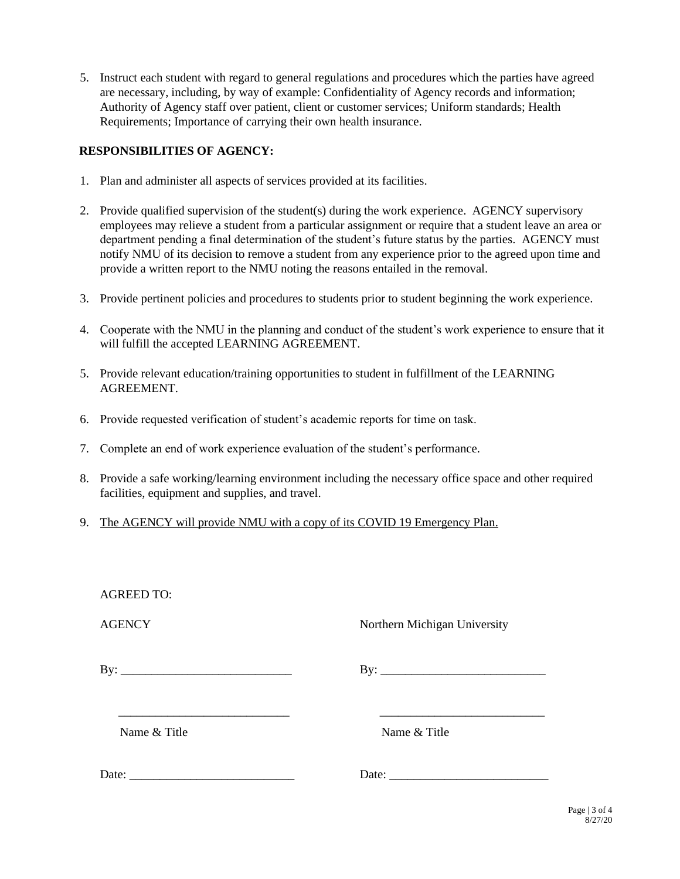5. Instruct each student with regard to general regulations and procedures which the parties have agreed are necessary, including, by way of example: Confidentiality of Agency records and information; Authority of Agency staff over patient, client or customer services; Uniform standards; Health Requirements; Importance of carrying their own health insurance.

## **RESPONSIBILITIES OF AGENCY:**

- 1. Plan and administer all aspects of services provided at its facilities.
- 2. Provide qualified supervision of the student(s) during the work experience. AGENCY supervisory employees may relieve a student from a particular assignment or require that a student leave an area or department pending a final determination of the student's future status by the parties. AGENCY must notify NMU of its decision to remove a student from any experience prior to the agreed upon time and provide a written report to the NMU noting the reasons entailed in the removal.
- 3. Provide pertinent policies and procedures to students prior to student beginning the work experience.
- 4. Cooperate with the NMU in the planning and conduct of the student's work experience to ensure that it will fulfill the accepted LEARNING AGREEMENT.
- 5. Provide relevant education/training opportunities to student in fulfillment of the LEARNING **AGREEMENT**
- 6. Provide requested verification of student's academic reports for time on task.
- 7. Complete an end of work experience evaluation of the student's performance.
- 8. Provide a safe working/learning environment including the necessary office space and other required facilities, equipment and supplies, and travel.
- 9. The AGENCY will provide NMU with a copy of its COVID 19 Emergency Plan.

| Northern Michigan University |
|------------------------------|
|                              |
| Name & Title                 |
|                              |
|                              |